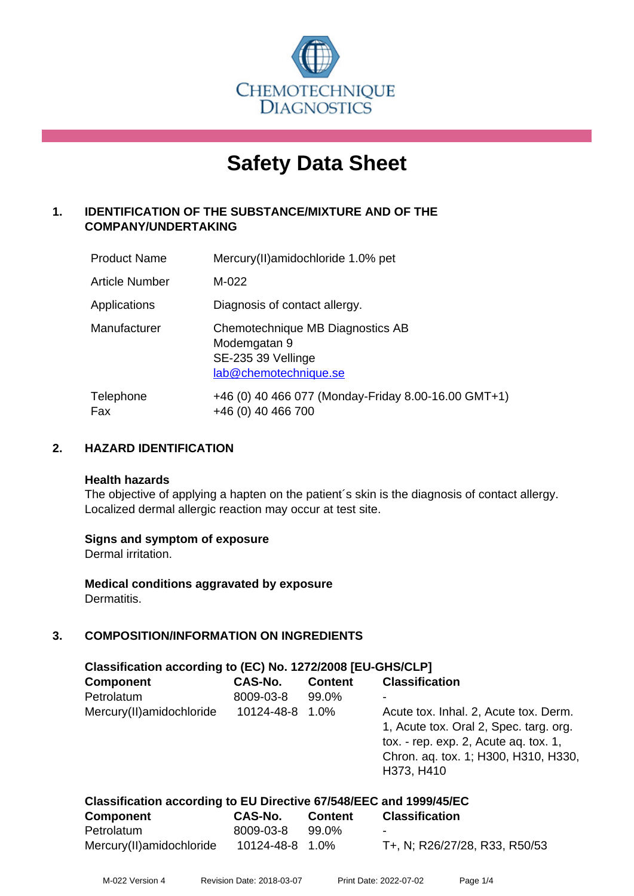

# **Safety Data Sheet**

# **1. IDENTIFICATION OF THE SUBSTANCE/MIXTURE AND OF THE COMPANY/UNDERTAKING**

| <b>Product Name</b>   | Mercury(II)amidochloride 1.0% pet                                                               |
|-----------------------|-------------------------------------------------------------------------------------------------|
| <b>Article Number</b> | M-022                                                                                           |
| Applications          | Diagnosis of contact allergy.                                                                   |
| Manufacturer          | Chemotechnique MB Diagnostics AB<br>Modemgatan 9<br>SE-235 39 Vellinge<br>lab@chemotechnique.se |
| Telephone<br>Fax      | +46 (0) 40 466 077 (Monday-Friday 8.00-16.00 GMT+1)<br>+46 (0) 40 466 700                       |

# **2. HAZARD IDENTIFICATION**

#### **Health hazards**

The objective of applying a hapten on the patient's skin is the diagnosis of contact allergy. Localized dermal allergic reaction may occur at test site.

# **Signs and symptom of exposure**

Dermal irritation.

**Medical conditions aggravated by exposure** Dermatitis.

# **3. COMPOSITION/INFORMATION ON INGREDIENTS**

| Classification according to (EC) No. 1272/2008 [EU-GHS/CLP] |            |                |                                                                                                                                                                                |  |  |
|-------------------------------------------------------------|------------|----------------|--------------------------------------------------------------------------------------------------------------------------------------------------------------------------------|--|--|
| <b>Component</b>                                            | CAS-No.    | <b>Content</b> | <b>Classification</b>                                                                                                                                                          |  |  |
| Petrolatum                                                  | 8009-03-8  | 99.0%          | -                                                                                                                                                                              |  |  |
| Mercury(II) amidochloride                                   | 10124-48-8 | $1.0\%$        | Acute tox. Inhal. 2, Acute tox. Derm.<br>1, Acute tox. Oral 2, Spec. targ. org.<br>tox. - rep. exp. 2, Acute ag. tox. 1,<br>Chron. aq. tox. 1; H300, H310, H330,<br>H373, H410 |  |  |

| Classification according to EU Directive 67/548/EEC and 1999/45/EC |                 |         |                               |  |
|--------------------------------------------------------------------|-----------------|---------|-------------------------------|--|
| <b>Component</b>                                                   | CAS-No.         | Content | <b>Classification</b>         |  |
| Petrolatum                                                         | 8009-03-8       | 99.0%   | $\overline{\phantom{0}}$      |  |
| Mercury(II) amidochloride                                          | 10124-48-8 1.0% |         | T+, N; R26/27/28, R33, R50/53 |  |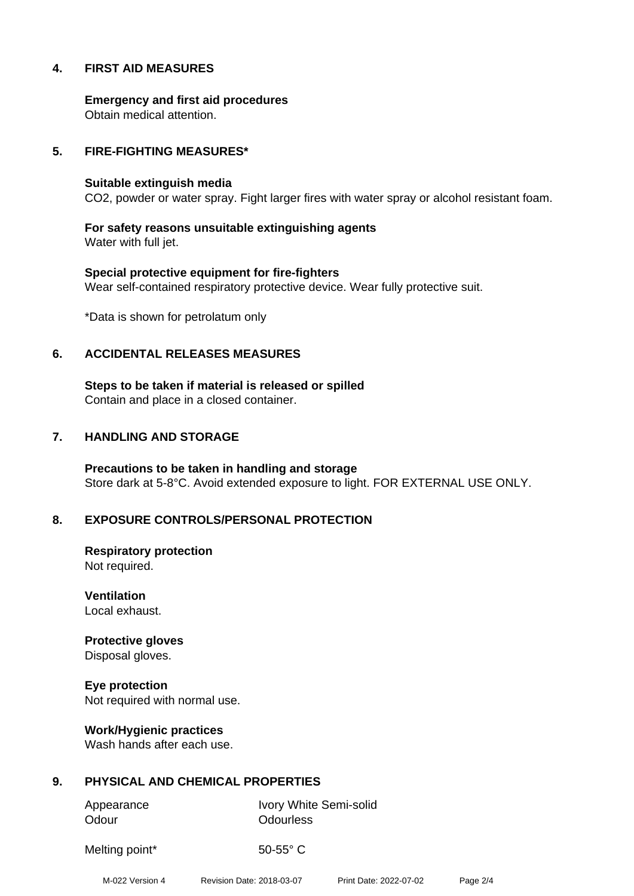# **4. FIRST AID MEASURES**

**Emergency and first aid procedures** Obtain medical attention.

#### **5. FIRE-FIGHTING MEASURES\***

#### **Suitable extinguish media**

CO2, powder or water spray. Fight larger fires with water spray or alcohol resistant foam.

**For safety reasons unsuitable extinguishing agents** Water with full jet.

**Special protective equipment for fire-fighters** Wear self-contained respiratory protective device. Wear fully protective suit.

\*Data is shown for petrolatum only

#### **6. ACCIDENTAL RELEASES MEASURES**

**Steps to be taken if material is released or spilled** Contain and place in a closed container.

#### **7. HANDLING AND STORAGE**

**Precautions to be taken in handling and storage** Store dark at 5-8°C. Avoid extended exposure to light. FOR EXTERNAL USE ONLY.

# **8. EXPOSURE CONTROLS/PERSONAL PROTECTION**

**Respiratory protection** Not required.

**Ventilation** Local exhaust.

**Protective gloves** Disposal gloves.

**Eye protection** Not required with normal use.

**Work/Hygienic practices** Wash hands after each use.

# **9. PHYSICAL AND CHEMICAL PROPERTIES**

Odour **Odourless** 

Appearance Ivory White Semi-solid

Melting point\* 50-55° C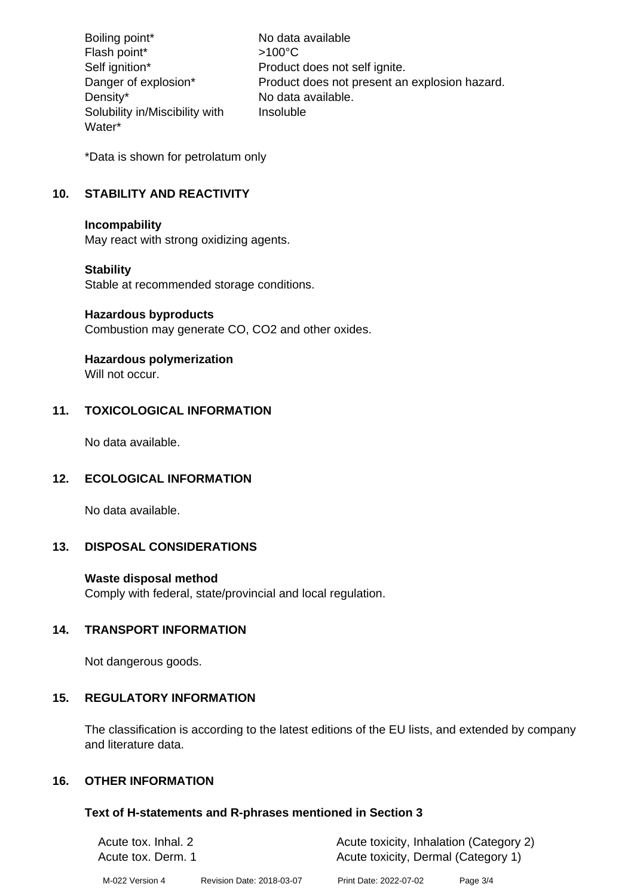Boiling point\* No data available Flash point\*  $>100^{\circ}$ C Self ignition\* Product does not self ignite. Danger of explosion\* Product does not present an explosion hazard. Density\* No data available. Solubility in/Miscibility with Water\* Insoluble

\*Data is shown for petrolatum only

# **10. STABILITY AND REACTIVITY**

#### **Incompability**

May react with strong oxidizing agents.

# **Stability**

Stable at recommended storage conditions.

#### **Hazardous byproducts**

Combustion may generate CO, CO2 and other oxides.

# **Hazardous polymerization**

Will not occur.

# **11. TOXICOLOGICAL INFORMATION**

No data available.

# **12. ECOLOGICAL INFORMATION**

No data available.

# **13. DISPOSAL CONSIDERATIONS**

# **Waste disposal method**

Comply with federal, state/provincial and local regulation.

# **14. TRANSPORT INFORMATION**

Not dangerous goods.

# **15. REGULATORY INFORMATION**

The classification is according to the latest editions of the EU lists, and extended by company and literature data.

# **16. OTHER INFORMATION**

# **Text of H-statements and R-phrases mentioned in Section 3**

| Acute tox. Inhal. 2 |                           | Acute toxicity, Inhalation (Category 2) |            |  |
|---------------------|---------------------------|-----------------------------------------|------------|--|
| Acute tox. Derm. 1  |                           | Acute toxicity, Dermal (Category 1)     |            |  |
| M-022 Version 4     | Revision Date: 2018-03-07 | Print Date: 2022-07-02                  | Page $3/4$ |  |